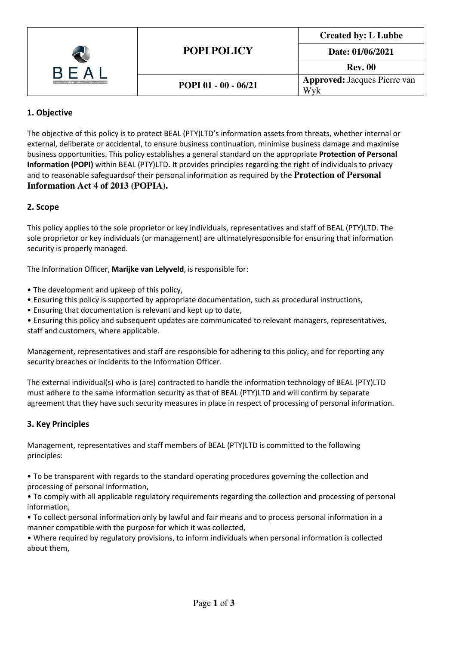| <b>CONSULTING ENGINEERING &amp; PROJECT MANAGEMENT</b> | <b>POPI POLICY</b>   | <b>Created by: L Lubbe</b>          |
|--------------------------------------------------------|----------------------|-------------------------------------|
|                                                        |                      | Date: 01/06/2021                    |
|                                                        |                      | <b>Rev. 00</b>                      |
|                                                        | POPI 01 - 00 - 06/21 | <b>Approved:</b> Jacques Pierre van |
|                                                        |                      | Wyk                                 |

# 1. Objective

The objective of this policy is to protect BEAL (PTY)LTD's information assets from threats, whether internal or external, deliberate or accidental, to ensure business continuation, minimise business damage and maximise business opportunities. This policy establishes a general standard on the appropriate Protection of Personal Information (POPI) within BEAL (PTY)LTD. It provides principles regarding the right of individuals to privacy and to reasonable safeguards of their personal information as required by the **Protection of Personal Information Act 4 of 2013 (POPIA).** 

## 2. Scope

This policy applies to the sole proprietor or key individuals, representatives and staff of BEAL (PTY)LTD. The sole proprietor or key individuals (or management) are ultimately responsible for ensuring that information security is properly managed.

The Information Officer, Marijke van Lelyveld, is responsible for:

- The development and upkeep of this policy,
- Ensuring this policy is supported by appropriate documentation, such as procedural instructions,
- Ensuring that documentation is relevant and kept up to date,

• Ensuring this policy and subsequent updates are communicated to relevant managers, representatives, staff and customers, where applicable.

Management, representatives and staff are responsible for adhering to this policy, and for reporting any security breaches or incidents to the Information Officer.

The external individual(s) who is (are) contracted to handle the information technology of BEAL (PTY)LTD must adhere to the same information security as that of BEAL (PTY)LTD and will confirm by separate agreement that they have such security measures in place in respect of processing of personal information.

### 3. Key Principles

Management, representatives and staff members of BEAL (PTY)LTD is committed to the following principles:

• To be transparent with regards to the standard operating procedures governing the collection and processing of personal information,

• To comply with all applicable regulatory requirements regarding the collection and processing of personal information,

• To collect personal information only by lawful and fair means and to process personal information in a manner compatible with the purpose for which it was collected,

• Where required by regulatory provisions, to inform individuals when personal information is collected about them,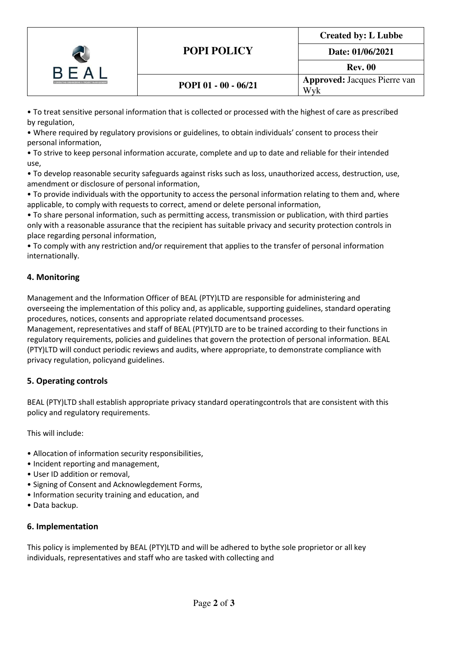| <b>CONSULTING ENGINEERING &amp; PROJECT MANAGEMENT</b> | <b>POPI POLICY</b>   | <b>Created by: L Lubbe</b>          |
|--------------------------------------------------------|----------------------|-------------------------------------|
|                                                        |                      | Date: 01/06/2021                    |
|                                                        |                      | <b>Rev. 00</b>                      |
|                                                        | POPI 01 - 00 - 06/21 | <b>Approved: Jacques Pierre van</b> |
|                                                        |                      | Wvk                                 |

• To treat sensitive personal information that is collected or processed with the highest of care as prescribed by regulation,

• Where required by regulatory provisions or guidelines, to obtain individuals' consent to process their personal information,

• To strive to keep personal information accurate, complete and up to date and reliable for their intended use,

• To develop reasonable security safeguards against risks such as loss, unauthorized access, destruction, use, amendment or disclosure of personal information,

• To provide individuals with the opportunity to access the personal information relating to them and, where applicable, to comply with requests to correct, amend or delete personal information,

• To share personal information, such as permitting access, transmission or publication, with third parties only with a reasonable assurance that the recipient has suitable privacy and security protection controls in place regarding personal information,

• To comply with any restriction and/or requirement that applies to the transfer of personal information internationally.

## 4. Monitoring

Management and the Information Officer of BEAL (PTY)LTD are responsible for administering and overseeing the implementation of this policy and, as applicable, supporting guidelines, standard operating procedures, notices, consents and appropriate related documents and processes.

Management, representatives and staff of BEAL (PTY)LTD are to be trained according to their functions in regulatory requirements, policies and guidelines that govern the protection of personal information. BEAL (PTY)LTD will conduct periodic reviews and audits, where appropriate, to demonstrate compliance with privacy regulation, policy and guidelines.

## 5. Operating controls

BEAL (PTY)LTD shall establish appropriate privacy standard operating controls that are consistent with this policy and regulatory requirements.

This will include:

- Allocation of information security responsibilities,
- Incident reporting and management,
- User ID addition or removal,
- Signing of Consent and Acknowlegdement Forms,
- Information security training and education, and
- Data backup.

### 6. Implementation

This policy is implemented by BEAL (PTY)LTD and will be adhered to by the sole proprietor or all key individuals, representatives and staff who are tasked with collecting and